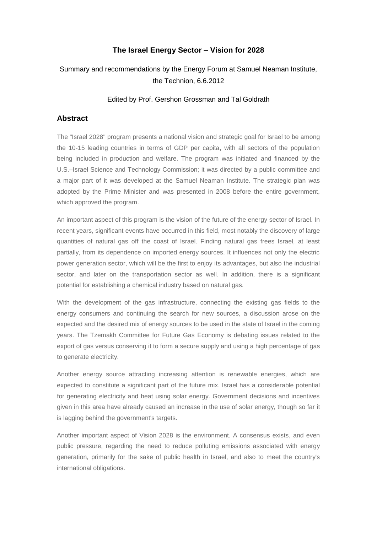## **The Israel Energy Sector – Vision for 2028**

# Summary and recommendations by the Energy Forum at Samuel Neaman Institute, the Technion, 6.6.2012

#### Edited by Prof. Gershon Grossman and Tal Goldrath

### **Abstract**

The "Israel 2028" program presents a national vision and strategic goal for Israel to be among the 10-15 leading countries in terms of GDP per capita, with all sectors of the population being included in production and welfare. The program was initiated and financed by the U.S.–Israel Science and Technology Commission; it was directed by a public committee and a major part of it was developed at the Samuel Neaman Institute. The strategic plan was adopted by the Prime Minister and was presented in 2008 before the entire government, which approved the program.

An important aspect of this program is the vision of the future of the energy sector of Israel. In recent years, significant events have occurred in this field, most notably the discovery of large quantities of natural gas off the coast of Israel. Finding natural gas frees Israel, at least partially, from its dependence on imported energy sources. It influences not only the electric power generation sector, which will be the first to enjoy its advantages, but also the industrial sector, and later on the transportation sector as well. In addition, there is a significant potential for establishing a chemical industry based on natural gas.

With the development of the gas infrastructure, connecting the existing gas fields to the energy consumers and continuing the search for new sources, a discussion arose on the expected and the desired mix of energy sources to be used in the state of Israel in the coming years. The Tzemakh Committee for Future Gas Economy is debating issues related to the export of gas versus conserving it to form a secure supply and using a high percentage of gas to generate electricity.

Another energy source attracting increasing attention is renewable energies, which are expected to constitute a significant part of the future mix. Israel has a considerable potential for generating electricity and heat using solar energy. Government decisions and incentives given in this area have already caused an increase in the use of solar energy, though so far it is lagging behind the government's targets.

Another important aspect of Vision 2028 is the environment. A consensus exists, and even public pressure, regarding the need to reduce polluting emissions associated with energy generation, primarily for the sake of public health in Israel, and also to meet the country's international obligations.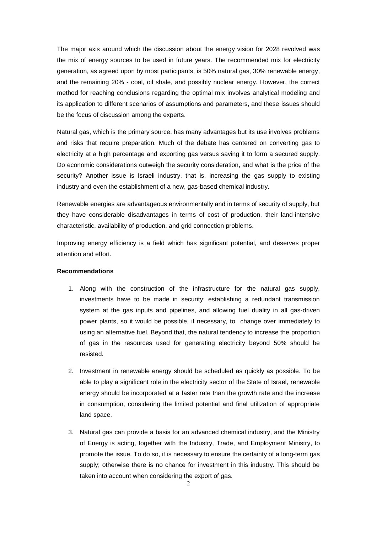The major axis around which the discussion about the energy vision for 2028 revolved was the mix of energy sources to be used in future years. The recommended mix for electricity generation, as agreed upon by most participants, is 50% natural gas, 30% renewable energy, and the remaining 20% - coal, oil shale, and possibly nuclear energy. However, the correct method for reaching conclusions regarding the optimal mix involves analytical modeling and its application to different scenarios of assumptions and parameters, and these issues should be the focus of discussion among the experts.

Natural gas, which is the primary source, has many advantages but its use involves problems and risks that require preparation. Much of the debate has centered on converting gas to electricity at a high percentage and exporting gas versus saving it to form a secured supply. Do economic considerations outweigh the security consideration, and what is the price of the security? Another issue is Israeli industry, that is, increasing the gas supply to existing industry and even the establishment of a new, gas-based chemical industry.

Renewable energies are advantageous environmentally and in terms of security of supply, but they have considerable disadvantages in terms of cost of production, their land-intensive characteristic, availability of production, and grid connection problems.

Improving energy efficiency is a field which has significant potential, and deserves proper attention and effort.

#### **Recommendations**

- 1. Along with the construction of the infrastructure for the natural gas supply, investments have to be made in security: establishing a redundant transmission system at the gas inputs and pipelines, and allowing fuel duality in all gas-driven power plants, so it would be possible, if necessary, to change over immediately to using an alternative fuel. Beyond that, the natural tendency to increase the proportion of gas in the resources used for generating electricity beyond 50% should be resisted.
- 2. Investment in renewable energy should be scheduled as quickly as possible. To be able to play a significant role in the electricity sector of the State of Israel, renewable energy should be incorporated at a faster rate than the growth rate and the increase in consumption, considering the limited potential and final utilization of appropriate land space.
- 3. Natural gas can provide a basis for an advanced chemical industry, and the Ministry of Energy is acting, together with the Industry, Trade, and Employment Ministry, to promote the issue. To do so, it is necessary to ensure the certainty of a long-term gas supply; otherwise there is no chance for investment in this industry. This should be taken into account when considering the export of gas.